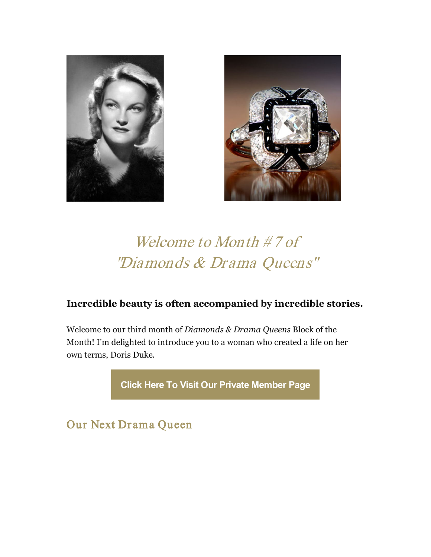



## Welcome to Month #7 of "Diamonds & Drama Queens"

## **Incredible beauty is often accompanied by incredible stories.**

Welcome to our third month of *Diamonds & Drama Queens* Block of the Month! I'm delighted to introduce you to a woman who created a life on her own terms, Doris Duke.

**[Click Here To Visit Our Private Member Page](https://mjkinman.com/ddq-member-page)**

Our Next Drama Queen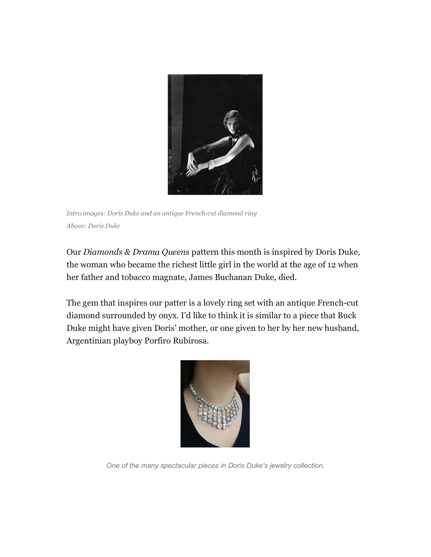

*Intro images: Doris Duke and an antique French-cut diamond ring Above: Doris Duke*

Our *Diamonds & Drama Queens* pattern this month is inspired by Doris Duke, the woman who became the richest little girl in the world at the age of 12 when her father and tobacco magnate, James Buchanan Duke, died.

The gem that inspires our patter is a lovely ring set with an antique French-cut diamond surrounded by onyx. I'd like to think it is similar to a piece that Buck Duke might have given Doris' mother, or one given to her by her new husband, Argentinian playboy Porfiro Rubirosa.



*One of the many spectacular pieces in Doris Duke's jewelry collection.*